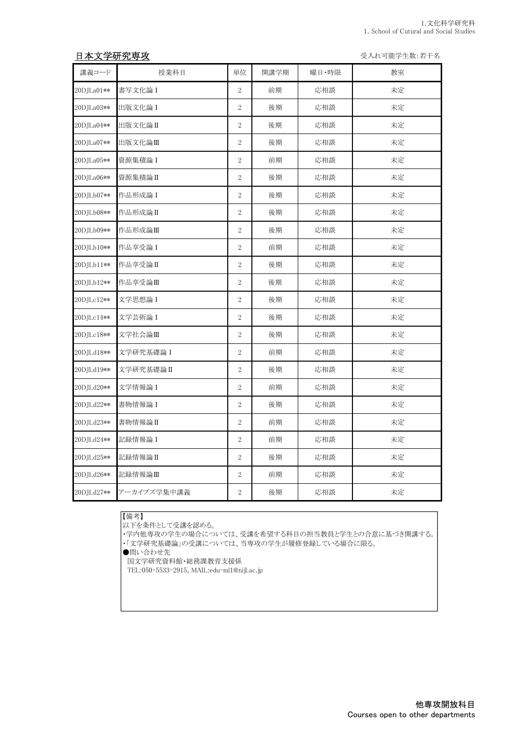## 日本文学研究専攻 マインスポーツ インディー・エンジェン エンジェン エンジェン 受入れ可能学生数:若干名

| 講義コード      | 授業科目        | 単位             | 開講学期 | 曜日・時限 | 教室 |
|------------|-------------|----------------|------|-------|----|
| 20DJLa01** | 書写文化論 I     | $\overline{2}$ | 前期   | 応相談   | 未定 |
| 20DJLa03** | 出版文化論 I     | $\overline{2}$ | 後期   | 応相談   | 未定 |
| 20DJLa04** | 出版文化論II     | $\overline{2}$ | 後期   | 応相談   | 未定 |
| 20DJLa07** | 出版文化論Ⅲ      | $\overline{2}$ | 後期   | 応相談   | 未定 |
| 20DJLa05** | 資源集積論 I     | $\overline{2}$ | 前期   | 応相談   | 未定 |
| 20DJLa06** | 資源集積論 II    | $\overline{2}$ | 後期   | 応相談   | 未定 |
| 20DJLb07** | 作品形成論 I     | $\overline{2}$ | 後期   | 応相談   | 未定 |
| 20DJLb08** | 作品形成論Ⅱ      | $\overline{2}$ | 後期   | 応相談   | 未定 |
| 20DJLb09** | 作品形成論Ⅲ      | $\overline{2}$ | 後期   | 応相談   | 未定 |
| 20DJLb10** | 作品享受論 I     | $\overline{2}$ | 前期   | 応相談   | 未定 |
| 20DJLb11** | 作品享受論II     | $\overline{2}$ | 後期   | 応相談   | 未定 |
| 20DJLb12** | 作品享受論Ⅲ      | $\overline{2}$ | 後期   | 応相談   | 未定 |
| 20DJLc12** | 文学思想論 I     | $\overline{2}$ | 後期   | 応相談   | 未定 |
| 20DJLc14** | 文学芸術論 I     | $\overline{2}$ | 後期   | 応相談   | 未定 |
| 20DJLc18** | 文学社会論Ⅲ      | $\overline{2}$ | 後期   | 応相談   | 未定 |
| 20DJLd18** | 文学研究基礎論 I   | $\overline{2}$ | 前期   | 応相談   | 未定 |
| 20DJLd19** | 文学研究基礎論 II  | $\overline{2}$ | 後期   | 応相談   | 未定 |
| 20DJLd20** | 文学情報論 I     | $\overline{2}$ | 前期   | 応相談   | 未定 |
| 20DJLd22** | 書物情報論 I     | $\overline{2}$ | 後期   | 応相談   | 未定 |
| 20DJLd23** | 書物情報論II     | $\overline{2}$ | 前期   | 応相談   | 未定 |
| 20DJLd24** | 記録情報論 I     | $\overline{2}$ | 前期   | 応相談   | 未定 |
| 20DJLd25** | 記録情報論 II    | $\overline{2}$ | 後期   | 応相談   | 未定 |
| 20DJLd26** | 記録情報論Ⅲ      | $\overline{2}$ | 前期   | 応相談   | 未定 |
| 20DJLd27** | アーカイブズ学集中講義 | $\overline{2}$ | 後期   | 応相談   | 未定 |

## 【備考】

|-.... ...<br>|以下を条件として受講を認める。

・学内他専攻の学生の場合については、受講を希望する科目の担当教員と学生との合意に基づき開講する。

・「文学研究基礎論」の受講については、当専攻の学生が履修登録している場合に限る。

●問い合わせ先

国文学研究資料館・総務課教育支援係

TEL:050-5533-2915, MAIL:edu-ml1@nijl.ac.jp